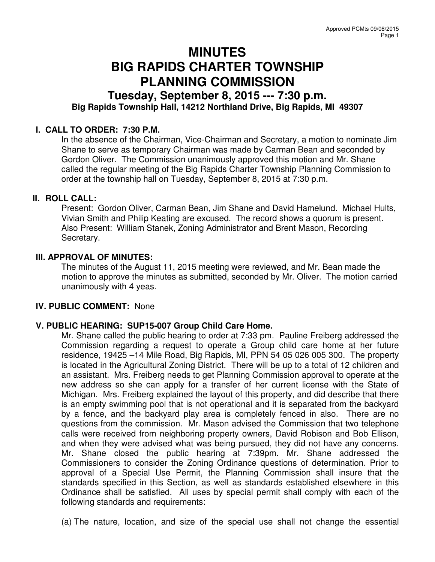# **MINUTES BIG RAPIDS CHARTER TOWNSHIP PLANNING COMMISSION**

## **Tuesday, September 8, 2015 --- 7:30 p.m. Big Rapids Township Hall, 14212 Northland Drive, Big Rapids, MI 49307**

### **I. CALL TO ORDER: 7:30 P.M.**

In the absence of the Chairman, Vice-Chairman and Secretary, a motion to nominate Jim Shane to serve as temporary Chairman was made by Carman Bean and seconded by Gordon Oliver. The Commission unanimously approved this motion and Mr. Shane called the regular meeting of the Big Rapids Charter Township Planning Commission to order at the township hall on Tuesday, September 8, 2015 at 7:30 p.m.

#### **II. ROLL CALL:**

Present: Gordon Oliver, Carman Bean, Jim Shane and David Hamelund. Michael Hults, Vivian Smith and Philip Keating are excused. The record shows a quorum is present. Also Present: William Stanek, Zoning Administrator and Brent Mason, Recording Secretary.

#### **III. APPROVAL OF MINUTES:**

The minutes of the August 11, 2015 meeting were reviewed, and Mr. Bean made the motion to approve the minutes as submitted, seconded by Mr. Oliver. The motion carried unanimously with 4 yeas.

#### **IV. PUBLIC COMMENT:** None

#### **V. PUBLIC HEARING: SUP15-007 Group Child Care Home.**

Mr. Shane called the public hearing to order at 7:33 pm. Pauline Freiberg addressed the Commission regarding a request to operate a Group child care home at her future residence, 19425 –14 Mile Road, Big Rapids, MI, PPN 54 05 026 005 300. The property is located in the Agricultural Zoning District. There will be up to a total of 12 children and an assistant. Mrs. Freiberg needs to get Planning Commission approval to operate at the new address so she can apply for a transfer of her current license with the State of Michigan. Mrs. Freiberg explained the layout of this property, and did describe that there is an empty swimming pool that is not operational and it is separated from the backyard by a fence, and the backyard play area is completely fenced in also. There are no questions from the commission. Mr. Mason advised the Commission that two telephone calls were received from neighboring property owners, David Robison and Bob Ellison, and when they were advised what was being pursued, they did not have any concerns. Mr. Shane closed the public hearing at 7:39pm. Mr. Shane addressed the Commissioners to consider the Zoning Ordinance questions of determination. Prior to approval of a Special Use Permit, the Planning Commission shall insure that the standards specified in this Section, as well as standards established elsewhere in this Ordinance shall be satisfied. All uses by special permit shall comply with each of the following standards and requirements:

(a) The nature, location, and size of the special use shall not change the essential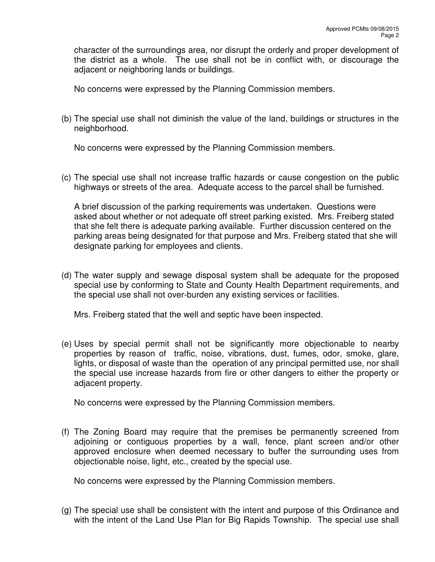character of the surroundings area, nor disrupt the orderly and proper development of the district as a whole. The use shall not be in conflict with, or discourage the adjacent or neighboring lands or buildings.

No concerns were expressed by the Planning Commission members.

(b) The special use shall not diminish the value of the land, buildings or structures in the neighborhood.

No concerns were expressed by the Planning Commission members.

(c) The special use shall not increase traffic hazards or cause congestion on the public highways or streets of the area. Adequate access to the parcel shall be furnished.

A brief discussion of the parking requirements was undertaken. Questions were asked about whether or not adequate off street parking existed. Mrs. Freiberg stated that she felt there is adequate parking available. Further discussion centered on the parking areas being designated for that purpose and Mrs. Freiberg stated that she will designate parking for employees and clients.

(d) The water supply and sewage disposal system shall be adequate for the proposed special use by conforming to State and County Health Department requirements, and the special use shall not over-burden any existing services or facilities.

Mrs. Freiberg stated that the well and septic have been inspected.

(e) Uses by special permit shall not be significantly more objectionable to nearby properties by reason of traffic, noise, vibrations, dust, fumes, odor, smoke, glare, lights, or disposal of waste than the operation of any principal permitted use, nor shall the special use increase hazards from fire or other dangers to either the property or adjacent property.

No concerns were expressed by the Planning Commission members.

(f) The Zoning Board may require that the premises be permanently screened from adjoining or contiguous properties by a wall, fence, plant screen and/or other approved enclosure when deemed necessary to buffer the surrounding uses from objectionable noise, light, etc., created by the special use.

No concerns were expressed by the Planning Commission members.

(g) The special use shall be consistent with the intent and purpose of this Ordinance and with the intent of the Land Use Plan for Big Rapids Township. The special use shall